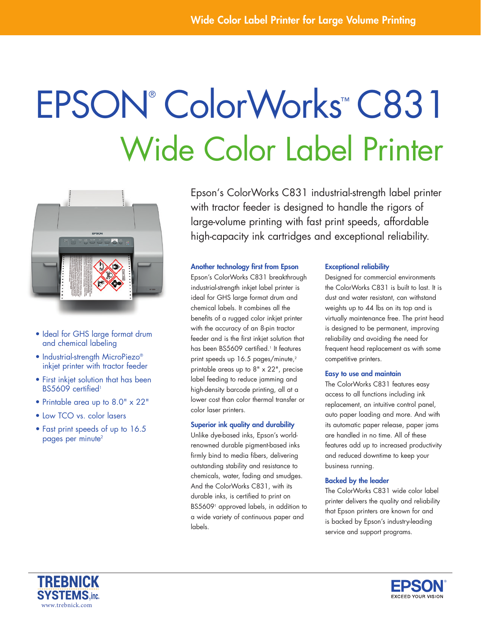# Epson® ColorWorks ™ C831 Wide Color Label Printer



- Ideal for GHS large format drum and chemical labeling
- Industrial-strength MicroPiezo® inkjet printer with tractor feeder
- First inkjet solution that has been BS5609 certified<sup>1</sup>
- Printable area up to 8.0" x 22"
- Low TCO vs. color lasers
- Fast print speeds of up to 16.5 pages per minute<sup>2</sup>

Epson's ColorWorks C831 industrial-strength label printer with tractor feeder is designed to handle the rigors of large-volume printing with fast print speeds, affordable high-capacity ink cartridges and exceptional reliability.

# Another technology first from Epson

Epson's ColorWorks C831 breakthrough industrial-strength inkjet label printer is ideal for GHS large format drum and chemical labels. It combines all the benefits of a rugged color inkjet printer with the accuracy of an 8-pin tractor feeder and is the first inkjet solution that has been BS5609 certified.1 It features print speeds up 16.5 pages/minute,<sup>2</sup> printable areas up to 8" x 22", precise label feeding to reduce jamming and high-density barcode printing, all at a lower cost than color thermal transfer or color laser printers.

# Superior ink quality and durability

Unlike dye-based inks, Epson's worldrenowned durable pigment-based inks firmly bind to media fibers, delivering outstanding stability and resistance to chemicals, water, fading and smudges. And the ColorWorks C831, with its durable inks, is certified to print on BS56091 approved labels, in addition to a wide variety of continuous paper and labels.

## Exceptional reliability

Designed for commercial environments the ColorWorks C831 is built to last. It is dust and water resistant, can withstand weights up to 44 lbs on its top and is virtually maintenance free. The print head is designed to be permanent, improving reliability and avoiding the need for frequent head replacement as with some competitive printers.

### Easy to use and maintain

The ColorWorks C831 features easy access to all functions including ink replacement, an intuitive control panel, auto paper loading and more. And with its automatic paper release, paper jams are handled in no time. All of these features add up to increased productivity and reduced downtime to keep your business running.

# Backed by the leader

The ColorWorks C831 wide color label printer delivers the quality and reliability that Epson printers are known for and is backed by Epson's industry-leading service and support programs.